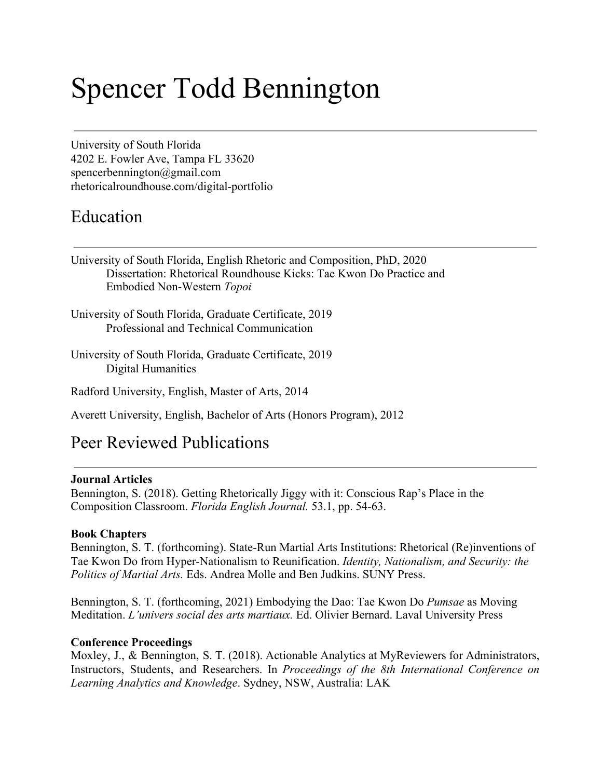# Spencer Todd Bennington

University of South Florida 4202 E. Fowler Ave, Tampa FL 33620 spencerbennington@gmail.com rhetoricalroundhouse.com/digital-portfolio

### Education

- University of South Florida, English Rhetoric and Composition, PhD, 2020 Dissertation: Rhetorical Roundhouse Kicks: Tae Kwon Do Practice and Embodied Non-Western *Topoi*
- University of South Florida, Graduate Certificate, 2019 Professional and Technical Communication
- University of South Florida, Graduate Certificate, 2019 Digital Humanities
- Radford University, English, Master of Arts, 2014
- Averett University, English, Bachelor of Arts (Honors Program), 2012

## Peer Reviewed Publications

### **Journal Articles**

Bennington, S. (2018). Getting Rhetorically Jiggy with it: Conscious Rap's Place in the Composition Classroom. *Florida English Journal.* 53.1, pp. 54-63.

### **Book Chapters**

Bennington, S. T. (forthcoming). State-Run Martial Arts Institutions: Rhetorical (Re)inventions of Tae Kwon Do from Hyper-Nationalism to Reunification. *Identity, Nationalism, and Security: the Politics of Martial Arts.* Eds. Andrea Molle and Ben Judkins. SUNY Press.

Bennington, S. T. (forthcoming, 2021) Embodying the Dao: Tae Kwon Do *Pumsae* as Moving Meditation. *L'univers social des arts martiaux.* Ed. Olivier Bernard. Laval University Press

### **Conference Proceedings**

Moxley, J., & Bennington, S. T. (2018). Actionable Analytics at MyReviewers for Administrators, Instructors, Students, and Researchers. In *Proceedings of the 8th International Conference on Learning Analytics and Knowledge*. Sydney, NSW, Australia: LAK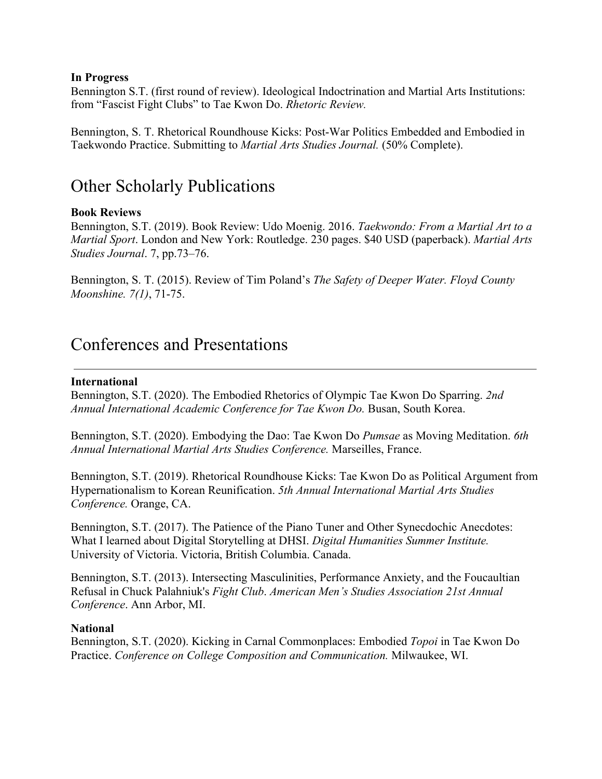### **In Progress**

Bennington S.T. (first round of review). Ideological Indoctrination and Martial Arts Institutions: from "Fascist Fight Clubs" to Tae Kwon Do. *Rhetoric Review.*

Bennington, S. T. Rhetorical Roundhouse Kicks: Post-War Politics Embedded and Embodied in Taekwondo Practice. Submitting to *Martial Arts Studies Journal.* (50% Complete).

## Other Scholarly Publications

### **Book Reviews**

Bennington, S.T. (2019). Book Review: Udo Moenig. 2016. *Taekwondo: From a Martial Art to a Martial Sport*. London and New York: Routledge. 230 pages. \$40 USD (paperback). *Martial Arts Studies Journal*. 7, pp.73–76.

Bennington, S. T. (2015). Review of Tim Poland's *The Safety of Deeper Water. Floyd County Moonshine. 7(1)*, 71-75.

## Conferences and Presentations

#### **International**

Bennington, S.T. (2020). The Embodied Rhetorics of Olympic Tae Kwon Do Sparring. *2nd Annual International Academic Conference for Tae Kwon Do.* Busan, South Korea.

Bennington, S.T. (2020). Embodying the Dao: Tae Kwon Do *Pumsae* as Moving Meditation. *6th Annual International Martial Arts Studies Conference.* Marseilles, France.

Bennington, S.T. (2019). Rhetorical Roundhouse Kicks: Tae Kwon Do as Political Argument from Hypernationalism to Korean Reunification. *5th Annual International Martial Arts Studies Conference.* Orange, CA.

Bennington, S.T. (2017). The Patience of the Piano Tuner and Other Synecdochic Anecdotes: What I learned about Digital Storytelling at DHSI. *Digital Humanities Summer Institute.* University of Victoria. Victoria, British Columbia. Canada.

Bennington, S.T. (2013). Intersecting Masculinities, Performance Anxiety, and the Foucaultian Refusal in Chuck Palahniuk's *Fight Club*. *American Men's Studies Association 21st Annual Conference*. Ann Arbor, MI.

### **National**

Bennington, S.T. (2020). Kicking in Carnal Commonplaces: Embodied *Topoi* in Tae Kwon Do Practice. *Conference on College Composition and Communication.* Milwaukee, WI.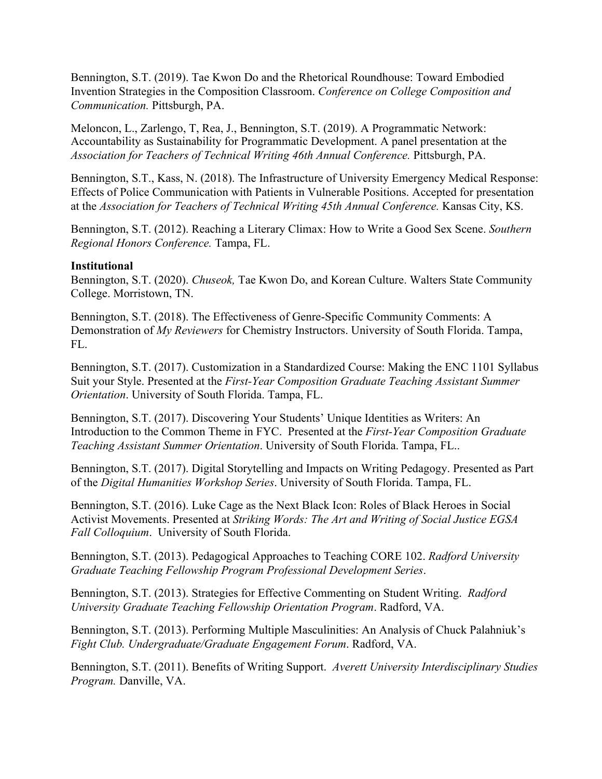Bennington, S.T. (2019). Tae Kwon Do and the Rhetorical Roundhouse: Toward Embodied Invention Strategies in the Composition Classroom. *Conference on College Composition and Communication.* Pittsburgh, PA.

Meloncon, L., Zarlengo, T, Rea, J., Bennington, S.T. (2019). A Programmatic Network: Accountability as Sustainability for Programmatic Development. A panel presentation at the *Association for Teachers of Technical Writing 46th Annual Conference.* Pittsburgh, PA.

Bennington, S.T., Kass, N. (2018). The Infrastructure of University Emergency Medical Response: Effects of Police Communication with Patients in Vulnerable Positions. Accepted for presentation at the *Association for Teachers of Technical Writing 45th Annual Conference.* Kansas City, KS.

Bennington, S.T. (2012). Reaching a Literary Climax: How to Write a Good Sex Scene. *Southern Regional Honors Conference.* Tampa, FL.

### **Institutional**

Bennington, S.T. (2020). *Chuseok,* Tae Kwon Do, and Korean Culture. Walters State Community College. Morristown, TN.

Bennington, S.T. (2018). The Effectiveness of Genre-Specific Community Comments: A Demonstration of *My Reviewers* for Chemistry Instructors. University of South Florida. Tampa, FL.

Bennington, S.T. (2017). Customization in a Standardized Course: Making the ENC 1101 Syllabus Suit your Style. Presented at the *First-Year Composition Graduate Teaching Assistant Summer Orientation*. University of South Florida. Tampa, FL.

Bennington, S.T. (2017). Discovering Your Students' Unique Identities as Writers: An Introduction to the Common Theme in FYC. Presented at the *First-Year Composition Graduate Teaching Assistant Summer Orientation*. University of South Florida. Tampa, FL..

Bennington, S.T. (2017). Digital Storytelling and Impacts on Writing Pedagogy. Presented as Part of the *Digital Humanities Workshop Series*. University of South Florida. Tampa, FL.

Bennington, S.T. (2016). Luke Cage as the Next Black Icon: Roles of Black Heroes in Social Activist Movements. Presented at *Striking Words: The Art and Writing of Social Justice EGSA Fall Colloquium*. University of South Florida.

Bennington, S.T. (2013). Pedagogical Approaches to Teaching CORE 102. *Radford University Graduate Teaching Fellowship Program Professional Development Series*.

Bennington, S.T. (2013). Strategies for Effective Commenting on Student Writing. *Radford University Graduate Teaching Fellowship Orientation Program*. Radford, VA.

Bennington, S.T. (2013). Performing Multiple Masculinities: An Analysis of Chuck Palahniuk's *Fight Club. Undergraduate/Graduate Engagement Forum*. Radford, VA.

Bennington, S.T. (2011). Benefits of Writing Support. *Averett University Interdisciplinary Studies Program.* Danville, VA.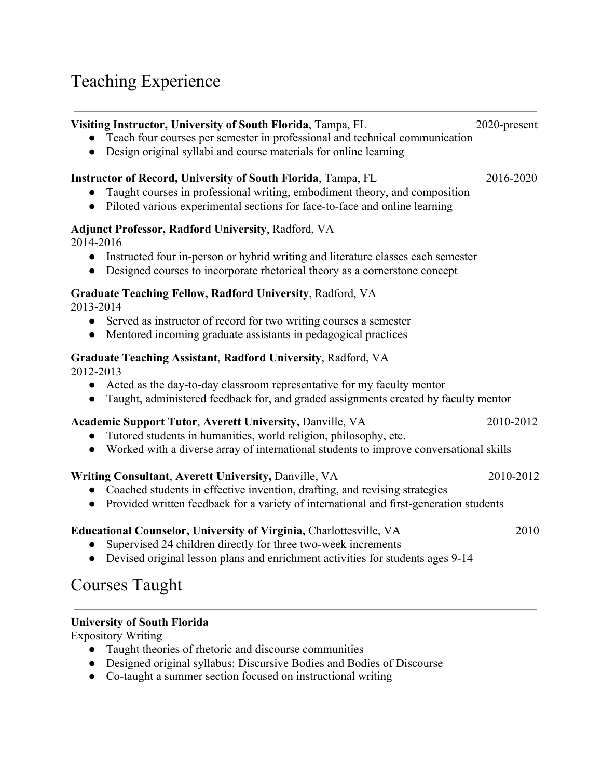## Teaching Experience

| Visiting Instructor, University of South Florida, Tampa, FL<br>Teach four courses per semester in professional and technical communication<br>Design original syllabi and course materials for online learning<br>$\bullet$                               | 2020-present |
|-----------------------------------------------------------------------------------------------------------------------------------------------------------------------------------------------------------------------------------------------------------|--------------|
| <b>Instructor of Record, University of South Florida, Tampa, FL</b><br>Taught courses in professional writing, embodiment theory, and composition<br>Piloted various experimental sections for face-to-face and online learning<br>$\bullet$              | 2016-2020    |
| <b>Adjunct Professor, Radford University, Radford, VA</b><br>2014-2016<br>Instructed four in-person or hybrid writing and literature classes each semester<br>$\bullet$<br>Designed courses to incorporate rhetorical theory as a cornerstone concept     |              |
| Graduate Teaching Fellow, Radford University, Radford, VA<br>2013-2014<br>Served as instructor of record for two writing courses a semester<br>$\bullet$<br>Mentored incoming graduate assistants in pedagogical practices<br>$\bullet$                   |              |
| Graduate Teaching Assistant, Radford University, Radford, VA<br>2012-2013<br>• Acted as the day-to-day classroom representative for my faculty mentor<br>Taught, administered feedback for, and graded assignments created by faculty mentor<br>$\bullet$ |              |
| <b>Academic Support Tutor, Averett University, Danville, VA</b><br>Tutored students in humanities, world religion, philosophy, etc.<br>• Worked with a diverse array of international students to improve conversational skills                           | 2010-2012    |
| Writing Consultant, Averett University, Danville, VA<br>• Coached students in effective invention, drafting, and revising strategies<br>Provided written feedback for a variety of international and first-generation students<br>$\bullet$               | 2010-2012    |
| Educational Counselor, University of Virginia, Charlottesville, VA<br>Supervised 24 children directly for three two-week increments<br>Devised original lesson plans and enrichment activities for students ages 9-14                                     | 2010         |

## Courses Taught

### **University of South Florida**

Expository Writing

- Taught theories of rhetoric and discourse communities
- Designed original syllabus: Discursive Bodies and Bodies of Discourse
- Co-taught a summer section focused on instructional writing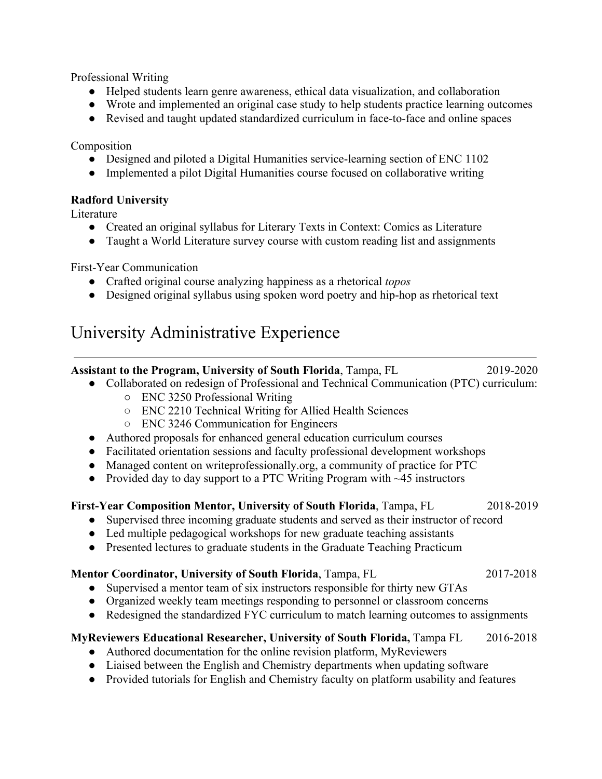Professional Writing

- Helped students learn genre awareness, ethical data visualization, and collaboration
- Wrote and implemented an original case study to help students practice learning outcomes
- Revised and taught updated standardized curriculum in face-to-face and online spaces

Composition

- Designed and piloted a Digital Humanities service-learning section of ENC 1102
- Implemented a pilot Digital Humanities course focused on collaborative writing

### **Radford University**

Literature

- Created an original syllabus for Literary Texts in Context: Comics as Literature
- Taught a World Literature survey course with custom reading list and assignments

First-Year Communication

- Crafted original course analyzing happiness as a rhetorical *topos*
- Designed original syllabus using spoken word poetry and hip-hop as rhetorical text

## University Administrative Experience

**Assistant to the Program, University of South Florida**, Tampa, FL 2019-2020

- Collaborated on redesign of Professional and Technical Communication (PTC) curriculum:
	- ENC 3250 Professional Writing
	- ENC 2210 Technical Writing for Allied Health Sciences
	- ENC 3246 Communication for Engineers
- Authored proposals for enhanced general education curriculum courses
- Facilitated orientation sessions and faculty professional development workshops
- Managed content on writeprofessionally.org, a community of practice for PTC
- Provided day to day support to a PTC Writing Program with  $\sim$  45 instructors

### **First-Year Composition Mentor, University of South Florida**, Tampa, FL 2018-2019

- Supervised three incoming graduate students and served as their instructor of record
- Led multiple pedagogical workshops for new graduate teaching assistants
- Presented lectures to graduate students in the Graduate Teaching Practicum

### **Mentor Coordinator, University of South Florida**, Tampa, FL 2017-2018

- Supervised a mentor team of six instructors responsible for thirty new GTAs
- Organized weekly team meetings responding to personnel or classroom concerns
- Redesigned the standardized FYC curriculum to match learning outcomes to assignments

### **MyReviewers Educational Researcher, University of South Florida,** Tampa FL 2016-2018

- Authored documentation for the online revision platform, MyReviewers
- Liaised between the English and Chemistry departments when updating software
- Provided tutorials for English and Chemistry faculty on platform usability and features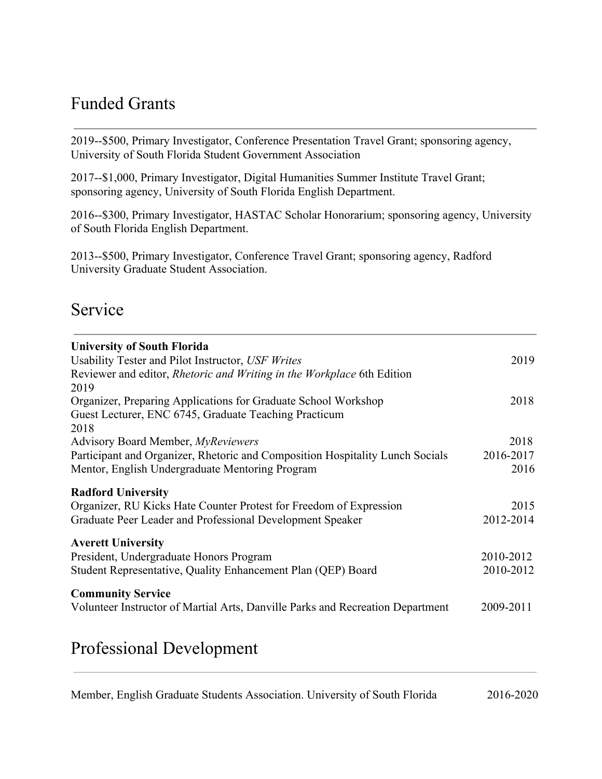## Funded Grants

2019--\$500, Primary Investigator, Conference Presentation Travel Grant; sponsoring agency, University of South Florida Student Government Association

2017--\$1,000, Primary Investigator, Digital Humanities Summer Institute Travel Grant; sponsoring agency, University of South Florida English Department.

2016--\$300, Primary Investigator, HASTAC Scholar Honorarium; sponsoring agency, University of South Florida English Department.

2013--\$500, Primary Investigator, Conference Travel Grant; sponsoring agency, Radford University Graduate Student Association.

### Service

| <b>University of South Florida</b>                                             |           |
|--------------------------------------------------------------------------------|-----------|
| Usability Tester and Pilot Instructor, USF Writes                              | 2019      |
| Reviewer and editor, <i>Rhetoric and Writing in the Workplace</i> 6th Edition  |           |
| 2019                                                                           |           |
| Organizer, Preparing Applications for Graduate School Workshop                 | 2018      |
| Guest Lecturer, ENC 6745, Graduate Teaching Practicum                          |           |
| 2018                                                                           |           |
| Advisory Board Member, MyReviewers                                             | 2018      |
| Participant and Organizer, Rhetoric and Composition Hospitality Lunch Socials  | 2016-2017 |
| Mentor, English Undergraduate Mentoring Program                                | 2016      |
| <b>Radford University</b>                                                      |           |
| Organizer, RU Kicks Hate Counter Protest for Freedom of Expression             | 2015      |
| Graduate Peer Leader and Professional Development Speaker                      | 2012-2014 |
| <b>Averett University</b>                                                      |           |
| President, Undergraduate Honors Program                                        | 2010-2012 |
| Student Representative, Quality Enhancement Plan (QEP) Board                   | 2010-2012 |
| <b>Community Service</b>                                                       |           |
| Volunteer Instructor of Martial Arts, Danville Parks and Recreation Department | 2009-2011 |
|                                                                                |           |

## Professional Development

Member, English Graduate Students Association. University of South Florida 2016-2020